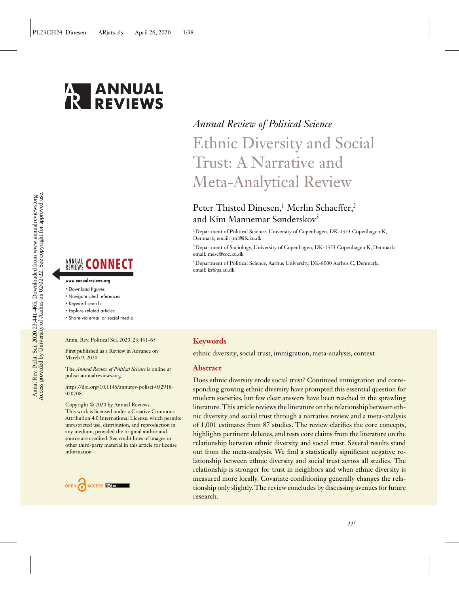

# Access provided by University of Aarhus on 02/02/22. See copyright for approved use. Annu. Rev. Polit. Sci. 2020.23:441-465. Downloaded from www.annualreviews.org<br>Access provided by University of Aarhus on 02/02/22. See copyright for approved use. Annu. Rev. Polit. Sci. 2020.23:441-465. Downloaded from www.annualreviews.org

# **ANNUAL CONNECT**

#### www.annualreviews.org

- Download figures
- Navigate cited references
- Keyword search
- · Explore related articles
- · Share via email or social media

Annu. Rev. Political Sci. 2020. 23:441–65

First published as a Review in Advance on March 9, 2020

The *Annual Review of Political Science* is online at polisci.annualreviews.org

[https://doi.org/10.1146/annurev-polisci-052918-](https://doi.org/10.1146/annurev-polisci-052918-020708) 020708

Copyright © 2020 by Annual Reviews. This work is licensed under a Creative Commons Attribution 4.0 International License, which permits unrestricted use, distribution, and reproduction in any medium, provided the original author and source are credited. See credit lines of images or other third-party material in this article for license information



# *Annual Review of Political Science* Ethnic Diversity and Social Trust: A Narrative and

Meta-Analytical Review

# Peter Thisted Dinesen,<sup>1</sup> Merlin Schaeffer,<sup>2</sup> and Kim Mannemar Sønderskov<sup>3</sup>

1Department of Political Science, University of Copenhagen, DK-1353 Copenhagen K, Denmark; email: [ptd@ifs.ku.dk](mailto:ptd@ifs.ku.dk)

2Department of Sociology, University of Copenhagen, DK-1353 Copenhagen K, Denmark; email: [mesc@soc.ku.dk](mailto:mesc@soc.ku.dk)

<sup>3</sup>Department of Political Science, Aarhus University, DK-8000 Aarhus C, Denmark; email: [ks@ps.au.dk](mailto:ks@ps.au.dk)

#### **Keywords**

ethnic diversity, social trust, immigration, meta-analysis, context

#### **Abstract**

Does ethnic diversity erode social trust? Continued immigration and corresponding growing ethnic diversity have prompted this essential question for modern societies, but few clear answers have been reached in the sprawling literature. This article reviews the literature on the relationship between ethnic diversity and social trust through a narrative review and a meta-analysis of 1,001 estimates from 87 studies. The review clarifies the core concepts, highlights pertinent debates, and tests core claims from the literature on the relationship between ethnic diversity and social trust. Several results stand out from the meta-analysis. We find a statistically significant negative relationship between ethnic diversity and social trust across all studies. The relationship is stronger for trust in neighbors and when ethnic diversity is measured more locally. Covariate conditioning generally changes the relationship only slightly. The review concludes by discussing avenues for future research.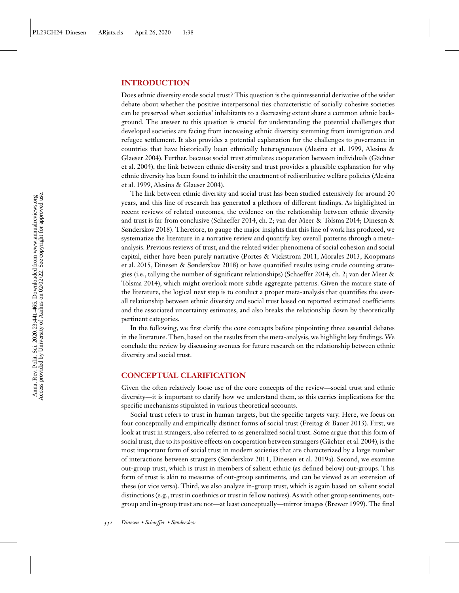#### **INTRODUCTION**

Does ethnic diversity erode social trust? This question is the quintessential derivative of the wider debate about whether the positive interpersonal ties characteristic of socially cohesive societies can be preserved when societies' inhabitants to a decreasing extent share a common ethnic background. The answer to this question is crucial for understanding the potential challenges that developed societies are facing from increasing ethnic diversity stemming from immigration and refugee settlement. It also provides a potential explanation for the challenges to governance in [countries that have historically been ethnically heterogeneous \(Alesina et al. 1999, Alesina &](#page-21-0) [Glaeser 2004\). Further, because social trust stimulates cooperation between individuals \(Gächter](#page-21-0) et al. 2004), the link between ethnic diversity and trust provides a plausible explanation for why [ethnic diversity has been found to inhibit the enactment of redistributive welfare policies \(Alesina](#page-21-0) et al. 1999, [Alesina & Glaeser 2004\)](#page-21-0).

The link between ethnic diversity and social trust has been studied extensively for around 20 years, and this line of research has generated a plethora of different findings. As highlighted in recent reviews of related outcomes, the evidence on the relationship between ethnic diversity [and trust is far from conclusive \(Schaeffer](#page-21-0)[2014, ch. 2;](#page-21-0)[van](#page-21-0)[der](#page-21-0)[Meer](#page-21-0)[&](#page-21-0)[Tolsma](#page-21-0)[2014; Dinesen &](#page-21-0) Sønderskov 2018). Therefore, to gauge the major insights that this line of work has produced, we systematize the literature in a narrative review and quantify key overall patterns through a metaanalysis. Previous reviews of trust, and the related wider phenomena of social cohesion and social [capital, either have been purely narrative \(Portes](#page-22-0)[&](#page-22-0)[Vickstrom](#page-22-0)[2011,](#page-22-0)[Morales](#page-22-0)[2013, Koopmans](#page-22-0) et al. 2015, [Dinesen & Sønderskov 2018\)](#page-21-0) or have quantified results using crude counting strate[gies \(i.e., tallying the number of significant relationships\) \(Schaeffer 2014, ch. 2; van der Meer &](#page-24-0) Tolsma 2014), which might overlook more subtle aggregate patterns. Given the mature state of the literature, the logical next step is to conduct a proper meta-analysis that quantifies the overall relationship between ethnic diversity and social trust based on reported estimated coefficients and the associated uncertainty estimates, and also breaks the relationship down by theoretically pertinent categories.

In the following, we first clarify the core concepts before pinpointing three essential debates in the literature. Then, based on the results from the meta-analysis, we highlight key findings. We conclude the review by discussing avenues for future research on the relationship between ethnic diversity and social trust.

#### **CONCEPTUAL CLARIFICATION**

Given the often relatively loose use of the core concepts of the review—social trust and ethnic diversity—it is important to clarify how we understand them, as this carries implications for the specific mechanisms stipulated in various theoretical accounts.

Social trust refers to trust in human targets, but the specific targets vary. Here, we focus on four conceptually and empirically distinct forms of social trust [\(Freitag & Bauer 2013\)](#page-21-0). First, we look at trust in strangers, also referred to as generalized social trust. Some argue that this form of social trust, due to its positive effects on cooperation between strangers [\(Gächter et al. 2004\)](#page-21-0), is the most important form of social trust in modern societies that are characterized by a large number of interactions between strangers [\(Sønderskov 2011,](#page-23-0) [Dinesen et al. 2019a\)](#page-21-0). Second, we examine out-group trust, which is trust in members of salient ethnic (as defined below) out-groups. This form of trust is akin to measures of out-group sentiments, and can be viewed as an extension of these (or vice versa). Third, we also analyze in-group trust, which is again based on salient social distinctions (e.g., trust in coethnics or trust in fellow natives). As with other group sentiments, outgroup and in-group trust are not—at least conceptually—mirror images [\(Brewer 1999\)](#page-21-0). The final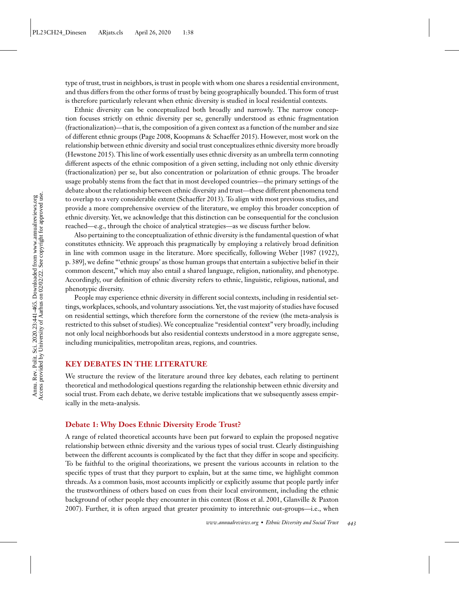type of trust, trust in neighbors, is trust in people with whom one shares a residential environment, and thus differs from the other forms of trust by being geographically bounded. This form of trust is therefore particularly relevant when ethnic diversity is studied in local residential contexts.

Ethnic diversity can be conceptualized both broadly and narrowly. The narrow conception focuses strictly on ethnic diversity per se, generally understood as ethnic fragmentation (fractionalization)—that is, the composition of a given context as a function of the number and size of different ethnic groups [\(Page 2008,](#page-23-0) [Koopmans & Schaeffer 2015\)](#page-22-0). However, most work on the relationship between ethnic diversity and social trust conceptualizes ethnic diversity more broadly [\(Hewstone 2015\)](#page-22-0). This line of work essentially uses ethnic diversity as an umbrella term connoting different aspects of the ethnic composition of a given setting, including not only ethnic diversity (fractionalization) per se, but also concentration or polarization of ethnic groups. The broader usage probably stems from the fact that in most developed countries—the primary settings of the debate about the relationship between ethnic diversity and trust—these different phenomena tend to overlap to a very considerable extent [\(Schaeffer 2013\)](#page-23-0). To align with most previous studies, and provide a more comprehensive overview of the literature, we employ this broader conception of ethnic diversity. Yet, we acknowledge that this distinction can be consequential for the conclusion reached—e.g., through the choice of analytical strategies—as we discuss further below.

Also pertaining to the conceptualization of ethnic diversity is the fundamental question of what constitutes ethnicity. We approach this pragmatically by employing a relatively broad definition in line with common usage in the literature. More specifically, following [Weber \[1987](#page-24-0) [\(1922\)](#page-24-0), p. 389], we define "'ethnic groups' as those human groups that entertain a subjective belief in their common descent," which may also entail a shared language, religion, nationality, and phenotype. Accordingly, our definition of ethnic diversity refers to ethnic, linguistic, religious, national, and phenotypic diversity.

People may experience ethnic diversity in different social contexts, including in residential settings, workplaces, schools, and voluntary associations. Yet, the vast majority of studies have focused on residential settings, which therefore form the cornerstone of the review (the meta-analysis is restricted to this subset of studies). We conceptualize "residential context" very broadly, including not only local neighborhoods but also residential contexts understood in a more aggregate sense, including municipalities, metropolitan areas, regions, and countries.

#### **KEY DEBATES IN THE LITERATURE**

We structure the review of the literature around three key debates, each relating to pertinent theoretical and methodological questions regarding the relationship between ethnic diversity and social trust. From each debate, we derive testable implications that we subsequently assess empirically in the meta-analysis.

#### **Debate 1: Why Does Ethnic Diversity Erode Trust?**

A range of related theoretical accounts have been put forward to explain the proposed negative relationship between ethnic diversity and the various types of social trust. Clearly distinguishing between the different accounts is complicated by the fact that they differ in scope and specificity. To be faithful to the original theorizations, we present the various accounts in relation to the specific types of trust that they purport to explain, but at the same time, we highlight common threads. As a common basis, most accounts implicitly or explicitly assume that people partly infer the trustworthiness of others based on cues from their local environment, including the ethnic [background of other people they encounter in this context \(Ross et al. 2001, Glanville & Paxton](#page-22-0) 2007). Further, it is often argued that greater proximity to interethnic out-groups—i.e., when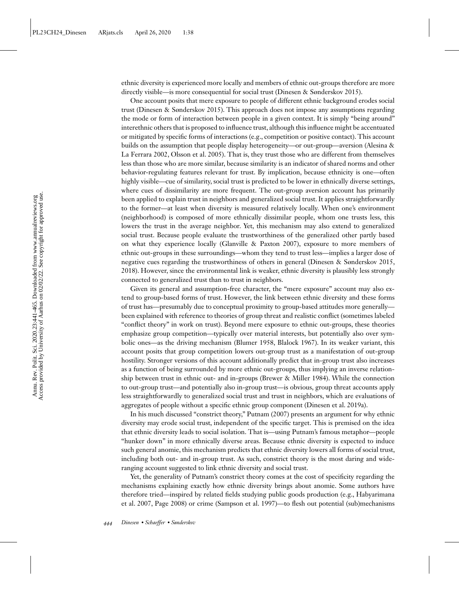ethnic diversity is experienced more locally and members of ethnic out-groups therefore are more directly visible—is more consequential for social trust [\(Dinesen & Sønderskov 2015\)](#page-21-0).

One account posits that mere exposure to people of different ethnic background erodes social trust [\(Dinesen & Sønderskov 2015\)](#page-21-0). This approach does not impose any assumptions regarding the mode or form of interaction between people in a given context. It is simply "being around" interethnic others that is proposed to influence trust, although this influence might be accentuated or mitigated by specific forms of interactions (e.g., competition or positive contact). This account [builds on the assumption that people display heterogeneity—or out-group—aversion \(Alesina &](#page-21-0) La Ferrara 2002, [Olsson et al. 2005\)](#page-23-0). That is, they trust those who are different from themselves less than those who are more similar, because similarity is an indicator of shared norms and other behavior-regulating features relevant for trust. By implication, because ethnicity is one—often highly visible—cue of similarity, social trust is predicted to be lower in ethnically diverse settings, where cues of dissimilarity are more frequent. The out-group aversion account has primarily been applied to explain trust in neighbors and generalized social trust. It applies straightforwardly to the former—at least when diversity is measured relatively locally. When one's environment (neighborhood) is composed of more ethnically dissimilar people, whom one trusts less, this lowers the trust in the average neighbor. Yet, this mechanism may also extend to generalized social trust. Because people evaluate the trustworthiness of the generalized other partly based on what they experience locally [\(Glanville & Paxton 2007\)](#page-22-0), exposure to more members of ethnic out-groups in these surroundings—whom they tend to trust less—implies a larger dose of negative cues regarding the trustworthiness of others in general [\(Dinesen & Sønderskov 2015,](#page-21-0) [2018\)](#page-21-0). However, since the environmental link is weaker, ethnic diversity is plausibly less strongly connected to generalized trust than to trust in neighbors.

Given its general and assumption-free character, the "mere exposure" account may also extend to group-based forms of trust. However, the link between ethnic diversity and these forms of trust has—presumably due to conceptual proximity to group-based attitudes more generally been explained with reference to theories of group threat and realistic conflict (sometimes labeled "conflict theory" in work on trust). Beyond mere exposure to ethnic out-groups, these theories emphasize group competition—typically over material interests, but potentially also over symbolic ones—as the driving mechanism [\(Blumer 1958, Blalock 1967\)](#page-21-0). In its weaker variant, this account posits that group competition lowers out-group trust as a manifestation of out-group hostility. Stronger versions of this account additionally predict that in-group trust also increases as a function of being surrounded by more ethnic out-groups, thus implying an inverse relationship between trust in ethnic out- and in-groups [\(Brewer & Miller 1984\)](#page-21-0). While the connection to out-group trust—and potentially also in-group trust—is obvious, group threat accounts apply less straightforwardly to generalized social trust and trust in neighbors, which are evaluations of aggregates of people without a specific ethnic group component [\(Dinesen et al. 2019a\)](#page-21-0).

In his much discussed "constrict theory," [Putnam \(2007\)](#page-23-0) presents an argument for why ethnic diversity may erode social trust, independent of the specific target. This is premised on the idea that ethnic diversity leads to social isolation. That is—using Putnam's famous metaphor—people "hunker down" in more ethnically diverse areas. Because ethnic diversity is expected to induce such general anomie, this mechanism predicts that ethnic diversity lowers all forms of social trust, including both out- and in-group trust. As such, constrict theory is the most daring and wideranging account suggested to link ethnic diversity and social trust.

Yet, the generality of Putnam's constrict theory comes at the cost of specificity regarding the mechanisms explaining exactly how ethnic diversity brings about anomie. Some authors have therefore tried—inspired by related fields studying public goods production (e.g., Habyarimana [et al. 2007, Page 2008\) or crime \(Sampson et al. 1997\)—to flesh out potential \(sub\)mechanisms](#page-22-0)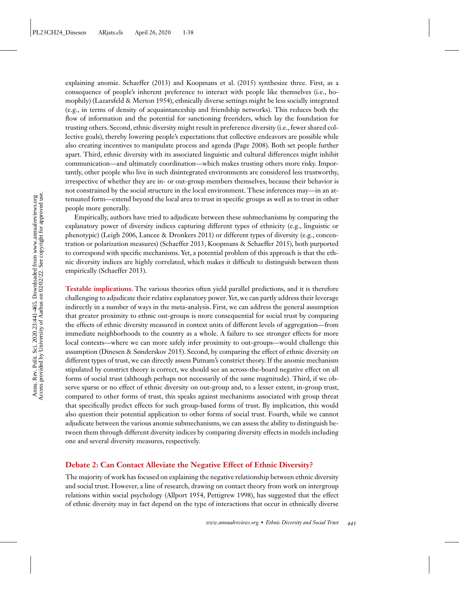explaining anomie. [Schaeffer \(2013\)](#page-23-0) and [Koopmans et al. \(2015\)](#page-22-0) synthesize three. First, as a consequence of people's inherent preference to interact with people like themselves (i.e., homophily) [\(Lazarsfeld & Merton 1954\)](#page-22-0), ethnically diverse settings might be less socially integrated (e.g., in terms of density of acquaintanceship and friendship networks). This reduces both the flow of information and the potential for sanctioning freeriders, which lay the foundation for trusting others. Second, ethnic diversity might result in preference diversity (i.e., fewer shared collective goals), thereby lowering people's expectations that collective endeavors are possible while also creating incentives to manipulate process and agenda [\(Page 2008\)](#page-23-0). Both set people further apart. Third, ethnic diversity with its associated linguistic and cultural differences might inhibit communication—and ultimately coordination—which makes trusting others more risky. Importantly, other people who live in such disintegrated environments are considered less trustworthy, irrespective of whether they are in- or out-group members themselves, because their behavior is not constrained by the social structure in the local environment. These inferences may—in an attenuated form—extend beyond the local area to trust in specific groups as well as to trust in other people more generally.

Empirically, authors have tried to adjudicate between these submechanisms by comparing the explanatory power of diversity indices capturing different types of ethnicity (e.g., linguistic or phenotypic) [\(Leigh 2006,](#page-23-0) [Lancee & Dronkers 2011\)](#page-22-0) or different types of diversity (e.g., concentration or polarization measures) [\(Schaeffer 2013,](#page-23-0) [Koopmans & Schaeffer 2015\)](#page-22-0), both purported to correspond with specific mechanisms. Yet, a potential problem of this approach is that the ethnic diversity indices are highly correlated, which makes it difficult to distinguish between them empirically [\(Schaeffer 2013\)](#page-23-0).

**Testable implications.** The various theories often yield parallel predictions, and it is therefore challenging to adjudicate their relative explanatory power. Yet, we can partly address their leverage indirectly in a number of ways in the meta-analysis. First, we can address the general assumption that greater proximity to ethnic out-groups is more consequential for social trust by comparing the effects of ethnic diversity measured in context units of different levels of aggregation—from immediate neighborhoods to the country as a whole. A failure to see stronger effects for more local contexts—where we can more safely infer proximity to out-groups—would challenge this assumption [\(Dinesen & Sønderskov 2015\)](#page-21-0). Second, by comparing the effect of ethnic diversity on different types of trust, we can directly assess Putnam's constrict theory. If the anomie mechanism stipulated by constrict theory is correct, we should see an across-the-board negative effect on all forms of social trust (although perhaps not necessarily of the same magnitude). Third, if we observe sparse or no effect of ethnic diversity on out-group and, to a lesser extent, in-group trust, compared to other forms of trust, this speaks against mechanisms associated with group threat that specifically predict effects for such group-based forms of trust. By implication, this would also question their potential application to other forms of social trust. Fourth, while we cannot adjudicate between the various anomie submechanisms, we can assess the ability to distinguish between them through different diversity indices by comparing diversity effects in models including one and several diversity measures, respectively.

#### **Debate 2: Can Contact Alleviate the Negative Effect of Ethnic Diversity?**

The majority of work has focused on explaining the negative relationship between ethnic diversity and social trust. However, a line of research, drawing on contact theory from work on intergroup relations within social psychology [\(Allport 1954,](#page-21-0) [Pettigrew 1998\)](#page-23-0), has suggested that the effect of ethnic diversity may in fact depend on the type of interactions that occur in ethnically diverse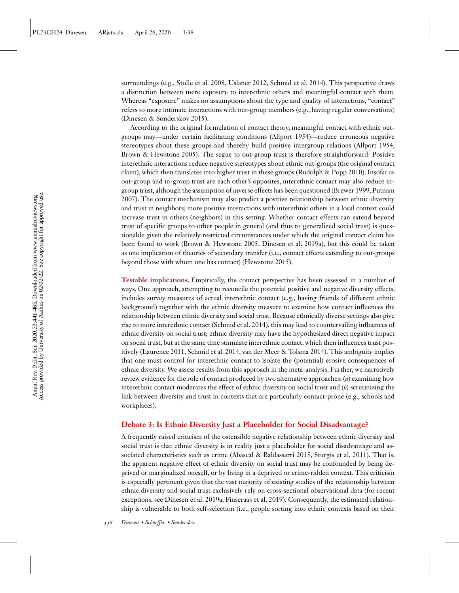surroundings (e.g., [Stolle et al. 2008,](#page-23-0) [Uslaner 2012,](#page-24-0) [Schmid et al. 2014\)](#page-23-0). This perspective draws a distinction between mere exposure to interethnic others and meaningful contact with them. Whereas "exposure" makes no assumptions about the type and quality of interactions, "contact" refers to more intimate interactions with out-group members (e.g., having regular conversations) [\(Dinesen & Sønderskov 2015\)](#page-21-0).

According to the original formulation of contact theory, meaningful contact with ethnic outgroups may—under certain facilitating conditions [\(Allport 1954\)](#page-21-0)—reduce erroneous negative stereotypes about these groups and thereby build positive intergroup relations [\(Allport 1954,](#page-21-0) [Brown & Hewstone 2005\)](#page-21-0). The segue to out-group trust is therefore straightforward: Positive interethnic interactions reduce negative stereotypes about ethnic out-groups (the original contact claim), which then translates into higher trust in these groups [\(Rudolph & Popp 2010\)](#page-23-0). Insofar as out-group and in-group trust are each other's opposites, interethnic contact may also reduce in[group trust, although the assumption of inverse effects has been questioned \(Brewer 1999, Putnam](#page-23-0) 2007). The contact mechanism may also predict a positive relationship between ethnic diversity and trust in neighbors; more positive interactions with interethnic others in a local context could increase trust in others (neighbors) in this setting. Whether contact effects can extend beyond trust of specific groups to other people in general (and thus to generalized social trust) is questionable given the relatively restricted circumstances under which the original contact claim has been found to work [\(Brown & Hewstone 2005, Dinesen et al. 2019a\)](#page-21-0), but this could be taken as one implication of theories of secondary transfer (i.e., contact effects extending to out-groups beyond those with whom one has contact) [\(Hewstone 2015\)](#page-22-0).

**Testable implications.** Empirically, the contact perspective has been assessed in a number of ways. One approach, attempting to reconcile the potential positive and negative diversity effects, includes survey measures of actual interethnic contact (e.g., having friends of different ethnic background) together with the ethnic diversity measure to examine how contact influences the relationship between ethnic diversity and social trust. Because ethnically diverse settings also give rise to more interethnic contact [\(Schmid et al. 2014\)](#page-23-0), this may lead to countervailing influences of ethnic diversity on social trust; ethnic diversity may have the hypothesized direct negative impact on social trust, but at the same time stimulate interethnic contact, which then influences trust positively [\(Laurence 2011,](#page-22-0) [Schmid et al. 2014,](#page-23-0) [van der Meer & Tolsma 2014\)](#page-24-0). This ambiguity implies that one must control for interethnic contact to isolate the (potential) erosive consequences of ethnic diversity. We assess results from this approach in the meta-analysis. Further, we narratively review evidence for the role of contact produced by two alternative approaches: (*a*) examining how interethnic contact moderates the effect of ethnic diversity on social trust and (*b*) scrutinizing the link between diversity and trust in contexts that are particularly contact-prone (e.g., schools and workplaces).

#### **Debate 3: Is Ethnic Diversity Just a Placeholder for Social Disadvantage?**

A frequently raised criticism of the ostensible negative relationship between ethnic diversity and social trust is that ethnic diversity is in reality just a placeholder for social disadvantage and associated characteristics such as crime [\(Abascal & Baldassarri 2015,](#page-21-0) [Sturgis et al. 2011\)](#page-23-0). That is, the apparent negative effect of ethnic diversity on social trust may be confounded by being deprived or marginalized oneself, or by living in a deprived or crime-ridden context. This criticism is especially pertinent given that the vast majority of existing studies of the relationship between ethnic diversity and social trust exclusively rely on cross-sectional observational data (for recent exceptions, see [Dinesen et al. 2019a, Finseraas et al. 2019\)](#page-21-0). Consequently, the estimated relationship is vulnerable to both self-selection (i.e., people sorting into ethnic contexts based on their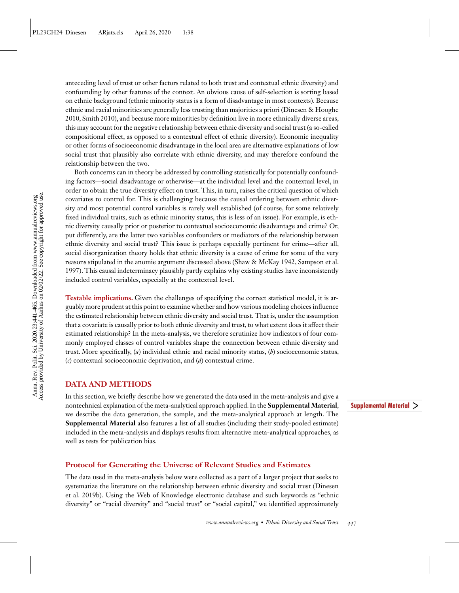anteceding level of trust or other factors related to both trust and contextual ethnic diversity) and confounding by other features of the context. An obvious cause of self-selection is sorting based on ethnic background (ethnic minority status is a form of disadvantage in most contexts). Because ethnic and racial minorities are generally less trusting than majorities a priori (Dinesen & Hooghe [2010, Smith 2010\), and because more minorities by definition live in more ethnically diverse areas,](#page-21-0) this may account for the negative relationship between ethnic diversity and social trust (a so-called compositional effect, as opposed to a contextual effect of ethnic diversity). Economic inequality or other forms of socioeconomic disadvantage in the local area are alternative explanations of low social trust that plausibly also correlate with ethnic diversity, and may therefore confound the relationship between the two.

Both concerns can in theory be addressed by controlling statistically for potentially confounding factors—social disadvantage or otherwise—at the individual level and the contextual level, in order to obtain the true diversity effect on trust. This, in turn, raises the critical question of which covariates to control for. This is challenging because the causal ordering between ethnic diversity and most potential control variables is rarely well established (of course, for some relatively fixed individual traits, such as ethnic minority status, this is less of an issue). For example, is ethnic diversity causally prior or posterior to contextual socioeconomic disadvantage and crime? Or, put differently, are the latter two variables confounders or mediators of the relationship between ethnic diversity and social trust? This issue is perhaps especially pertinent for crime—after all, social disorganization theory holds that ethnic diversity is a cause of crime for some of the very [reasons stipulated in the anomie argument discussed above \(Shaw & McKay 1942, Sampson et al.](#page-23-0) 1997). This causal indeterminacy plausibly partly explains why existing studies have inconsistently included control variables, especially at the contextual level.

**Testable implications.** Given the challenges of specifying the correct statistical model, it is arguably more prudent at this point to examine whether and how various modeling choices influence the estimated relationship between ethnic diversity and social trust. That is, under the assumption that a covariate is causally prior to both ethnic diversity and trust, to what extent does it affect their estimated relationship? In the meta-analysis, we therefore scrutinize how indicators of four commonly employed classes of control variables shape the connection between ethnic diversity and trust. More specifically, (*a*) individual ethnic and racial minority status, (*b*) socioeconomic status, (*c*) contextual socioeconomic deprivation, and (*d*) contextual crime.

#### **DATA AND METHODS**

In this section, we briefly describe how we generated the data used in the meta-analysis and give a nontechnical explanation of the meta-analytical approach applied. In the **Supplemental Material**, we describe the data generation, the sample, and the meta-analytical approach at length. The **Supplemental Material** also features a list of all studies (including their study-pooled estimate) included in the meta-analysis and displays results from alternative meta-analytical approaches, as well as tests for publication bias.

## **Protocol for Generating the Universe of Relevant Studies and Estimates**

The data used in the meta-analysis below were collected as a part of a larger project that seeks to [systematize the literature on the relationship between ethnic diversity and social trust \(Dinesen](#page-21-0) et al. 2019b). Using the Web of Knowledge electronic database and such keywords as "ethnic diversity" or "racial diversity" and "social trust" or "social capital," we identified approximately Supplemental Material >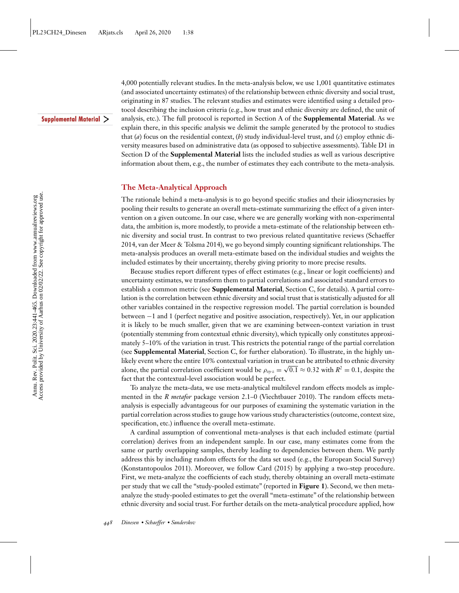Supplemental Material >

4,000 potentially relevant studies. In the meta-analysis below, we use 1,001 quantitative estimates (and associated uncertainty estimates) of the relationship between ethnic diversity and social trust, originating in 87 studies. The relevant studies and estimates were identified using a detailed protocol describing the inclusion criteria (e.g., how trust and ethnic diversity are defined, the unit of analysis, etc.). The full protocol is reported in Section A of the **Supplemental Material**. As we explain there, in this specific analysis we delimit the sample generated by the protocol to studies that (*a*) focus on the residential context, (*b*) study individual-level trust, and (*c*) employ ethnic diversity measures based on administrative data (as opposed to subjective assessments). Table D1 in Section D of the **Supplemental Material** lists the included studies as well as various descriptive information about them, e.g., the number of estimates they each contribute to the meta-analysis.

#### **The Meta-Analytical Approach**

The rationale behind a meta-analysis is to go beyond specific studies and their idiosyncrasies by pooling their results to generate an overall meta-estimate summarizing the effect of a given intervention on a given outcome. In our case, where we are generally working with non-experimental data, the ambition is, more modestly, to provide a meta-estimate of the relationship between ethnic diversity and social trust. In contrast to two previous related quantitative reviews (Schaeffer [2014, van der Meer & Tolsma 2014\), we go beyond simply counting significant relationships. The](#page-23-0) meta-analysis produces an overall meta-estimate based on the individual studies and weights the included estimates by their uncertainty, thereby giving priority to more precise results.

Because studies report different types of effect estimates (e.g., linear or logit coefficients) and uncertainty estimates, we transform them to partial correlations and associated standard errors to establish a common metric (see **Supplemental Material**, Section C, for details). A partial correlation is the correlation between ethnic diversity and social trust that is statistically adjusted for all other variables contained in the respective regression model. The partial correlation is bounded between −1 and 1 (perfect negative and positive association, respectively). Yet, in our application it is likely to be much smaller, given that we are examining between-context variation in trust (potentially stemming from contextual ethnic diversity), which typically only constitutes approximately 5–10% of the variation in trust. This restricts the potential range of the partial correlation (see **Supplemental Material**, Section C, for further elaboration). To illustrate, in the highly unlikely event where the entire 10% contextual variation in trust can be attributed to ethnic diversity alone, the partial correlation coefficient would be  $\rho_{xy\cdot z} = \sqrt{0.1} \approx 0.32$  with  $R^2 = 0.1$ , despite the fact that the contextual-level association would be perfect.

To analyze the meta-data, we use meta-analytical multilevel random effects models as implemented in the *R metafor* package version 2.1–0 [\(Viechtbauer 2010\)](#page-24-0). The random effects metaanalysis is especially advantageous for our purposes of examining the systematic variation in the partial correlation across studies to gauge how various study characteristics (outcome, context size, specification, etc.) influence the overall meta-estimate.

A cardinal assumption of conventional meta-analyses is that each included estimate (partial correlation) derives from an independent sample. In our case, many estimates come from the same or partly overlapping samples, thereby leading to dependencies between them. We partly address this by including random effects for the data set used (e.g., the European Social Survey) [\(Konstantopoulos 2011\)](#page-22-0). Moreover, we follow [Card \(2015\)](#page-21-0) by applying a two-step procedure. First, we meta-analyze the coefficients of each study, thereby obtaining an overall meta-estimate per study that we call the "study-pooled estimate" (reported in **Figure 1**). Second, we then metaanalyze the study-pooled estimates to get the overall "meta-estimate" of the relationship between ethnic diversity and social trust. For further details on the meta-analytical procedure applied, how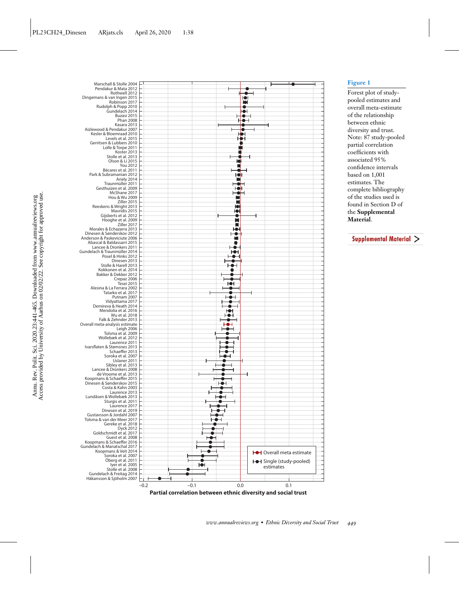



#### **Figure 1**

Forest plot of studypooled estimates and overall meta-estimate of the relationship between ethnic diversity and trust. Note: 87 study-pooled partial correlation coefficients with associated 95% confidence intervals based on 1,001 estimates. The complete bibliography of the studies used is found in Section D of the **Supplemental Material**.

Supplemental Material >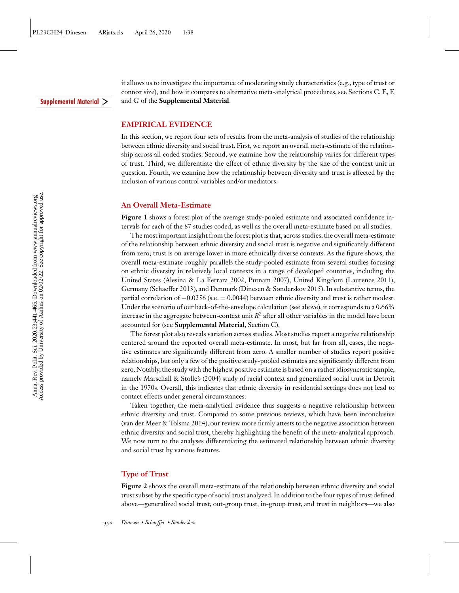#### Supplemental Material >

it allows us to investigate the importance of moderating study characteristics (e.g., type of trust or context size), and how it compares to alternative meta-analytical procedures, see Sections C, E, F, and G of the **Supplemental Material**.

#### **EMPIRICAL EVIDENCE**

In this section, we report four sets of results from the meta-analysis of studies of the relationship between ethnic diversity and social trust. First, we report an overall meta-estimate of the relationship across all coded studies. Second, we examine how the relationship varies for different types of trust. Third, we differentiate the effect of ethnic diversity by the size of the context unit in question. Fourth, we examine how the relationship between diversity and trust is affected by the inclusion of various control variables and/or mediators.

#### **An Overall Meta-Estimate**

**Figure 1** shows a forest plot of the average study-pooled estimate and associated confidence intervals for each of the 87 studies coded, as well as the overall meta-estimate based on all studies.

The most important insight from the forest plot is that, across studies, the overall meta-estimate of the relationship between ethnic diversity and social trust is negative and significantly different from zero; trust is on average lower in more ethnically diverse contexts. As the figure shows, the overall meta-estimate roughly parallels the study-pooled estimate from several studies focusing on ethnic diversity in relatively local contexts in a range of developed countries, including the United States [\(Alesina & La Ferrara 2002,](#page-21-0) [Putnam 2007\)](#page-23-0), United Kingdom [\(Laurence 2011\)](#page-22-0), Germany [\(Schaeffer 2013\)](#page-23-0), and Denmark [\(Dinesen & Sønderskov 2015\)](#page-21-0). In substantive terms, the partial correlation of −0.0256 (s.e. = 0.0044) between ethnic diversity and trust is rather modest. Under the scenario of our back-of-the-envelope calculation (see above), it corresponds to a 0.66% increase in the aggregate between-context unit  $R<sup>2</sup>$  after all other variables in the model have been accounted for (see **Supplemental Material**, Section C).

The forest plot also reveals variation across studies. Most studies report a negative relationship centered around the reported overall meta-estimate. In most, but far from all, cases, the negative estimates are significantly different from zero. A smaller number of studies report positive relationships, but only a few of the positive study-pooled estimates are significantly different from zero.Notably, the study with the highest positive estimate is based on a rather idiosyncratic sample, namely [Marschall & Stolle's \(2004\)](#page-23-0) study of racial context and generalized social trust in Detroit in the 1970s. Overall, this indicates that ethnic diversity in residential settings does not lead to contact effects under general circumstances.

Taken together, the meta-analytical evidence thus suggests a negative relationship between ethnic diversity and trust. Compared to some previous reviews, which have been inconclusive [\(van der Meer & Tolsma 2014\)](#page-24-0), our review more firmly attests to the negative association between ethnic diversity and social trust, thereby highlighting the benefit of the meta-analytical approach. We now turn to the analyses differentiating the estimated relationship between ethnic diversity and social trust by various features.

#### **Type of Trust**

**Figure 2** shows the overall meta-estimate of the relationship between ethnic diversity and social trust subset by the specific type of social trust analyzed. In addition to the four types of trust defined above—generalized social trust, out-group trust, in-group trust, and trust in neighbors—we also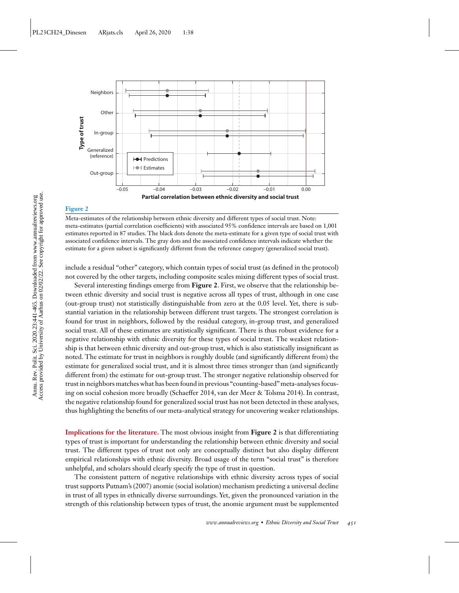

#### **Figure 2**

Meta-estimates of the relationship between ethnic diversity and different types of social trust. Note: meta-estimates (partial correlation coefficients) with associated 95% confidence intervals are based on 1,001 estimates reported in 87 studies. The black dots denote the meta-estimate for a given type of social trust with associated confidence intervals. The gray dots and the associated confidence intervals indicate whether the estimate for a given subset is significantly different from the reference category (generalized social trust).

include a residual "other" category, which contain types of social trust (as defined in the protocol) not covered by the other targets, including composite scales mixing different types of social trust.

Several interesting findings emerge from **Figure 2**. First, we observe that the relationship between ethnic diversity and social trust is negative across all types of trust, although in one case (out-group trust) not statistically distinguishable from zero at the 0.05 level. Yet, there is substantial variation in the relationship between different trust targets. The strongest correlation is found for trust in neighbors, followed by the residual category, in-group trust, and generalized social trust. All of these estimates are statistically significant. There is thus robust evidence for a negative relationship with ethnic diversity for these types of social trust. The weakest relationship is that between ethnic diversity and out-group trust, which is also statistically insignificant as noted. The estimate for trust in neighbors is roughly double (and significantly different from) the estimate for generalized social trust, and it is almost three times stronger than (and significantly different from) the estimate for out-group trust. The stronger negative relationship observed for trust in neighbors matches what has been found in previous "counting-based"meta-analyses focusing on social cohesion more broadly [\(Schaeffer 2014,](#page-23-0) [van der Meer & Tolsma 2014\)](#page-24-0). In contrast, the negative relationship found for generalized social trust has not been detected in these analyses, thus highlighting the benefits of our meta-analytical strategy for uncovering weaker relationships.

**Implications for the literature.** The most obvious insight from **Figure 2** is that differentiating types of trust is important for understanding the relationship between ethnic diversity and social trust. The different types of trust not only are conceptually distinct but also display different empirical relationships with ethnic diversity. Broad usage of the term "social trust" is therefore unhelpful, and scholars should clearly specify the type of trust in question.

The consistent pattern of negative relationships with ethnic diversity across types of social trust supports [Putnam's \(2007\)](#page-23-0) anomie (social isolation) mechanism predicting a universal decline in trust of all types in ethnically diverse surroundings. Yet, given the pronounced variation in the strength of this relationship between types of trust, the anomie argument must be supplemented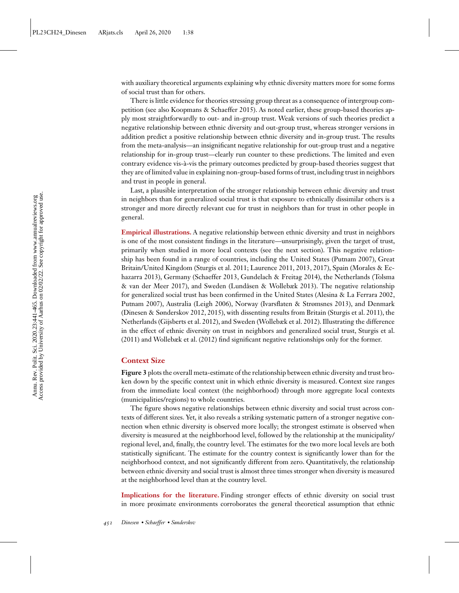with auxiliary theoretical arguments explaining why ethnic diversity matters more for some forms of social trust than for others.

There is little evidence for theories stressing group threat as a consequence of intergroup competition (see also [Koopmans & Schaeffer 2015\)](#page-22-0). As noted earlier, these group-based theories apply most straightforwardly to out- and in-group trust. Weak versions of such theories predict a negative relationship between ethnic diversity and out-group trust, whereas stronger versions in addition predict a positive relationship between ethnic diversity and in-group trust. The results from the meta-analysis—an insignificant negative relationship for out-group trust and a negative relationship for in-group trust—clearly run counter to these predictions. The limited and even contrary evidence vis-à-vis the primary outcomes predicted by group-based theories suggest that they are of limited value in explaining non-group-based forms of trust, including trust in neighbors and trust in people in general.

Last, a plausible interpretation of the stronger relationship between ethnic diversity and trust in neighbors than for generalized social trust is that exposure to ethnically dissimilar others is a stronger and more directly relevant cue for trust in neighbors than for trust in other people in general.

**Empirical illustrations.** A negative relationship between ethnic diversity and trust in neighbors is one of the most consistent findings in the literature—unsurprisingly, given the target of trust, primarily when studied in more local contexts (see the next section). This negative relationship has been found in a range of countries, including the United States [\(Putnam 2007\)](#page-23-0), Great [Britain/United Kingdom \(Sturgis et al. 2011; Laurence 2011, 2013, 2017\), Spain \(Morales & Ec](#page-23-0)[hazarra 2013\), Germany \(Schaeffer 2013,](#page-23-0) [Gundelach & Freitag 2014](#page-22-0)[\), the Netherlands \(Tolsma](#page-23-0) & van der Meer 2017), and Sweden [\(Lundåsen & Wollebæk 2013\)](#page-23-0). The negative relationship for generalized social trust has been confirmed in the United States [\(Alesina & La Ferrara 2002,](#page-21-0) [Putnam 2007\)](#page-23-0), Australia [\(Leigh 2006\)](#page-23-0), Norway [\(Ivarsflaten & Strømsnes 2013\)](#page-22-0), and Denmark [\(Dinesen & Sønderskov 2012, 2015\)](#page-21-0), with dissenting results from Britain [\(Sturgis et al. 2011\)](#page-23-0), the Netherlands [\(Gijsberts et al. 2012\)](#page-22-0), and Sweden [\(Wollebæk et al. 2012\)](#page-24-0). Illustrating the difference [in the effect of ethnic diversity on trust in neighbors and generalized social trust, Sturgis et al.](#page-23-0) (2011) and [Wollebæk et al. \(2012\)](#page-24-0) find significant negative relationships only for the former.

#### **Context Size**

**Figure 3** plots the overall meta-estimate of the relationship between ethnic diversity and trust broken down by the specific context unit in which ethnic diversity is measured. Context size ranges from the immediate local context (the neighborhood) through more aggregate local contexts (municipalities/regions) to whole countries.

The figure shows negative relationships between ethnic diversity and social trust across contexts of different sizes. Yet, it also reveals a striking systematic pattern of a stronger negative connection when ethnic diversity is observed more locally; the strongest estimate is observed when diversity is measured at the neighborhood level, followed by the relationship at the municipality/ regional level, and, finally, the country level. The estimates for the two more local levels are both statistically significant. The estimate for the country context is significantly lower than for the neighborhood context, and not significantly different from zero. Quantitatively, the relationship between ethnic diversity and social trust is almost three times stronger when diversity is measured at the neighborhood level than at the country level.

**Implications for the literature.** Finding stronger effects of ethnic diversity on social trust in more proximate environments corroborates the general theoretical assumption that ethnic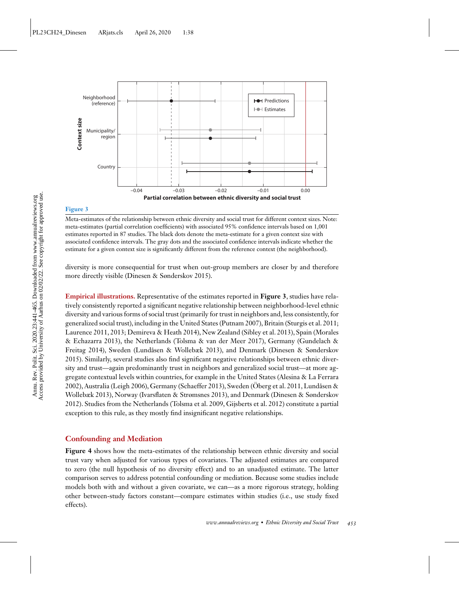

#### **Figure 3**

Meta-estimates of the relationship between ethnic diversity and social trust for different context sizes. Note: meta-estimates (partial correlation coefficients) with associated 95% confidence intervals based on 1,001 estimates reported in 87 studies. The black dots denote the meta-estimate for a given context size with associated confidence intervals. The gray dots and the associated confidence intervals indicate whether the estimate for a given context size is significantly different from the reference context (the neighborhood).

diversity is more consequential for trust when out-group members are closer by and therefore more directly visible [\(Dinesen & Sønderskov 2015\)](#page-21-0).

**Empirical illustrations.** Representative of the estimates reported in **Figure 3**, studies have relatively consistently reported a significant negative relationship between neighborhood-level ethnic diversity and various forms of social trust (primarily for trust in neighbors and, less consistently, for generalized social trust), including in the United States [\(Putnam 2007\)](#page-23-0), Britain [\(Sturgis et al. 2011;](#page-23-0) [Laurence 2011, 2013; Demireva & Heath 2014\), New Zealand \(Sibley et al. 2013\), Spain \(Morales](#page-23-0) & Echazarra 2013), the Netherlands [\(Tolsma & van der Meer 2017\)](#page-23-0), Germany (Gundelach & [Freitag 2014\), Sweden \(Lundåsen & Wollebæk 2013\), and Denmark \(Dinesen & Sønderskov](#page-22-0) 2015). Similarly, several studies also find significant negative relationships between ethnic diversity and trust—again predominantly trust in neighbors and generalized social trust—at more aggregate contextual levels within countries, for example in the United States (Alesina & La Ferrara [2002\), Australia \(Leigh 2006\), Germany \(Schaeffer 2013\), Sweden \(Öberg et al. 2011, Lundåsen &](#page-21-0) [Wollebæk 2013\), Norway \(Ivarsflaten](#page-21-0)[&](#page-21-0)[Strømsnes](#page-21-0)[2013\), and Denmark \(Dinesen & Sønderskov](#page-21-0) 2012). Studies from the Netherlands [\(Tolsma et al. 2009,](#page-23-0) [Gijsberts et al. 2012\)](#page-22-0) constitute a partial exception to this rule, as they mostly find insignificant negative relationships.

#### **Confounding and Mediation**

**Figure 4** shows how the meta-estimates of the relationship between ethnic diversity and social trust vary when adjusted for various types of covariates. The adjusted estimates are compared to zero (the null hypothesis of no diversity effect) and to an unadjusted estimate. The latter comparison serves to address potential confounding or mediation. Because some studies include models both with and without a given covariate, we can—as a more rigorous strategy, holding other between-study factors constant—compare estimates within studies (i.e., use study fixed effects).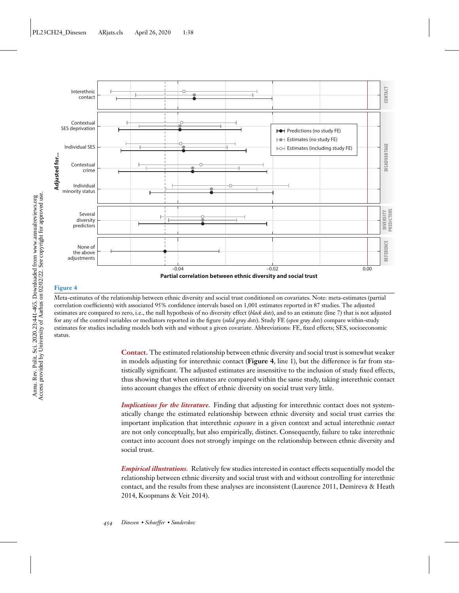

Meta-estimates of the relationship between ethnic diversity and social trust conditioned on covariates. Note: meta-estimates (partial correlation coefficients) with associated 95% confidence intervals based on 1,001 estimates reported in 87 studies. The adjusted estimates are compared to zero, i.e., the null hypothesis of no diversity effect (*black dots*), and to an estimate (line 7) that is not adjusted for any of the control variables or mediators reported in the figure (*solid gray dots*). Study FE (*open gray dots*) compare within-study estimates for studies including models both with and without a given covariate. Abbreviations: FE, fixed effects; SES, socioeconomic status.

> **Contact.** The estimated relationship between ethnic diversity and social trust is somewhat weaker in models adjusting for interethnic contact (**Figure 4**, line 1), but the difference is far from statistically significant. The adjusted estimates are insensitive to the inclusion of study fixed effects, thus showing that when estimates are compared within the same study, taking interethnic contact into account changes the effect of ethnic diversity on social trust very little.

> *Implications for the literature*. Finding that adjusting for interethnic contact does not systematically change the estimated relationship between ethnic diversity and social trust carries the important implication that interethnic *exposure* in a given context and actual interethnic *contact* are not only conceptually, but also empirically, distinct. Consequently, failure to take interethnic contact into account does not strongly impinge on the relationship between ethnic diversity and social trust.

> *Empirical illustrations.* Relatively few studies interested in contact effects sequentially model the relationship between ethnic diversity and social trust with and without controlling for interethnic [contact, and the results from these analyses are inconsistent \(Laurence 2011, Demireva & Heath](#page-21-0) 2014, [Koopmans & Veit 2014\)](#page-22-0).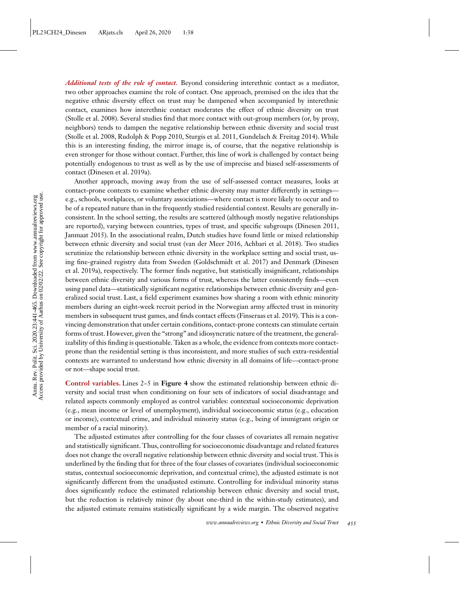*Additional tests of the role of contact.* Beyond considering interethnic contact as a mediator, two other approaches examine the role of contact. One approach, premised on the idea that the negative ethnic diversity effect on trust may be dampened when accompanied by interethnic contact, examines how interethnic contact moderates the effect of ethnic diversity on trust [\(Stolle et al. 2008\)](#page-23-0). Several studies find that more contact with out-group members (or, by proxy, neighbors) tends to dampen the negative relationship between ethnic diversity and social trust [\(Stolle et al. 2008, Rudolph & Popp 2010, Sturgis et al. 2011,](#page-23-0) [Gundelach & Freitag 2014\)](#page-22-0). While this is an interesting finding, the mirror image is, of course, that the negative relationship is even stronger for those without contact. Further, this line of work is challenged by contact being potentially endogenous to trust as well as by the use of imprecise and biased self-assessments of contact [\(Dinesen et al. 2019a\)](#page-21-0).

Another approach, moving away from the use of self-assessed contact measures, looks at contact-prone contexts to examine whether ethnic diversity may matter differently in settings e.g., schools, workplaces, or voluntary associations—where contact is more likely to occur and to be of a repeated nature than in the frequently studied residential context. Results are generally inconsistent. In the school setting, the results are scattered (although mostly negative relationships are reported), varying between countries, types of trust, and specific subgroups [\(Dinesen 2011,](#page-21-0) [Janmaat 2015\)](#page-22-0). In the associational realm, Dutch studies have found little or mixed relationship between ethnic diversity and social trust [\(van der Meer 2016,](#page-24-0) [Achbari et al. 2018\)](#page-21-0). Two studies scrutinize the relationship between ethnic diversity in the workplace setting and social trust, us[ing fine-grained registry data from Sweden \(Goldschmidt et al. 2017\) and Denmark \(Dinesen](#page-21-0) et al. 2019a), respectively. The former finds negative, but statistically insignificant, relationships between ethnic diversity and various forms of trust, whereas the latter consistently finds—even using panel data—statistically significant negative relationships between ethnic diversity and generalized social trust. Last, a field experiment examines how sharing a room with ethnic minority members during an eight-week recruit period in the Norwegian army affected trust in minority members in subsequent trust games, and finds contact effects [\(Finseraas et al. 2019\)](#page-21-0). This is a convincing demonstration that under certain conditions, contact-prone contexts can stimulate certain forms of trust. However, given the "strong" and idiosyncratic nature of the treatment, the generalizability of this finding is questionable. Taken as a whole, the evidence from contexts more contactprone than the residential setting is thus inconsistent, and more studies of such extra-residential contexts are warranted to understand how ethnic diversity in all domains of life—contact-prone or not—shape social trust.

**Control variables.** Lines 2–5 in **Figure 4** show the estimated relationship between ethnic diversity and social trust when conditioning on four sets of indicators of social disadvantage and related aspects commonly employed as control variables: contextual socioeconomic deprivation (e.g., mean income or level of unemployment), individual socioeconomic status (e.g., education or income), contextual crime, and individual minority status (e.g., being of immigrant origin or member of a racial minority).

The adjusted estimates after controlling for the four classes of covariates all remain negative and statistically significant. Thus, controlling for socioeconomic disadvantage and related features does not change the overall negative relationship between ethnic diversity and social trust. This is underlined by the finding that for three of the four classes of covariates (individual socioeconomic status, contextual socioeconomic deprivation, and contextual crime), the adjusted estimate is not significantly different from the unadjusted estimate. Controlling for individual minority status does significantly reduce the estimated relationship between ethnic diversity and social trust, but the reduction is relatively minor (by about one-third in the within-study estimates), and the adjusted estimate remains statistically significant by a wide margin. The observed negative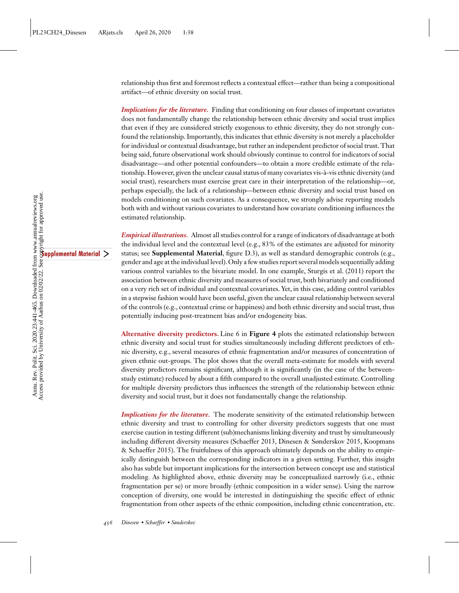relationship thus first and foremost reflects a contextual effect—rather than being a compositional artifact—of ethnic diversity on social trust.

*Implications for the literature.* Finding that conditioning on four classes of important covariates does not fundamentally change the relationship between ethnic diversity and social trust implies that even if they are considered strictly exogenous to ethnic diversity, they do not strongly confound the relationship. Importantly, this indicates that ethnic diversity is not merely a placeholder for individual or contextual disadvantage, but rather an independent predictor of social trust. That being said, future observational work should obviously continue to control for indicators of social disadvantage—and other potential confounders—to obtain a more credible estimate of the relationship. However, given the unclear causal status of many covariates vis-à-vis ethnic diversity (and social trust), researchers must exercise great care in their interpretation of the relationship—or, perhaps especially, the lack of a relationship—between ethnic diversity and social trust based on models conditioning on such covariates. As a consequence, we strongly advise reporting models both with and without various covariates to understand how covariate conditioning influences the estimated relationship.

*Empirical illustrations.* Almost all studies control for a range of indicators of disadvantage at both the individual level and the contextual level (e.g., 83% of the estimates are adjusted for minority status; see **Supplemental Material**, figure D.3), as well as standard demographic controls (e.g., gender and age at the individual level).Only a few studies report several models sequentially adding various control variables to the bivariate model. In one example, [Sturgis et al. \(2011\)](#page-23-0) report the association between ethnic diversity and measures of social trust, both bivariately and conditioned on a very rich set of individual and contextual covariates. Yet, in this case, adding control variables in a stepwise fashion would have been useful, given the unclear causal relationship between several of the controls (e.g., contextual crime or happiness) and both ethnic diversity and social trust, thus potentially inducing post-treatment bias and/or endogeneity bias.

**Alternative diversity predictors.** Line 6 in **Figure 4** plots the estimated relationship between ethnic diversity and social trust for studies simultaneously including different predictors of ethnic diversity, e.g., several measures of ethnic fragmentation and/or measures of concentration of given ethnic out-groups. The plot shows that the overall meta-estimate for models with several diversity predictors remains significant, although it is significantly (in the case of the betweenstudy estimate) reduced by about a fifth compared to the overall unadjusted estimate. Controlling for multiple diversity predictors thus influences the strength of the relationship between ethnic diversity and social trust, but it does not fundamentally change the relationship.

*Implications for the literature.* The moderate sensitivity of the estimated relationship between ethnic diversity and trust to controlling for other diversity predictors suggests that one must exercise caution in testing different (sub)mechanisms linking diversity and trust by simultaneously [including different diversity measures \(Schaeffer](#page-22-0)[2013,](#page-22-0)[Dinesen](#page-22-0)[&](#page-22-0)[Sønderskov](#page-22-0)[2015, Koopmans](#page-22-0) & Schaeffer 2015). The fruitfulness of this approach ultimately depends on the ability to empirically distinguish between the corresponding indicators in a given setting. Further, this insight also has subtle but important implications for the intersection between concept use and statistical modeling. As highlighted above, ethnic diversity may be conceptualized narrowly (i.e., ethnic fragmentation per se) or more broadly (ethnic composition in a wider sense). Using the narrow conception of diversity, one would be interested in distinguishing the specific effect of ethnic fragmentation from other aspects of the ethnic composition, including ethnic concentration, etc.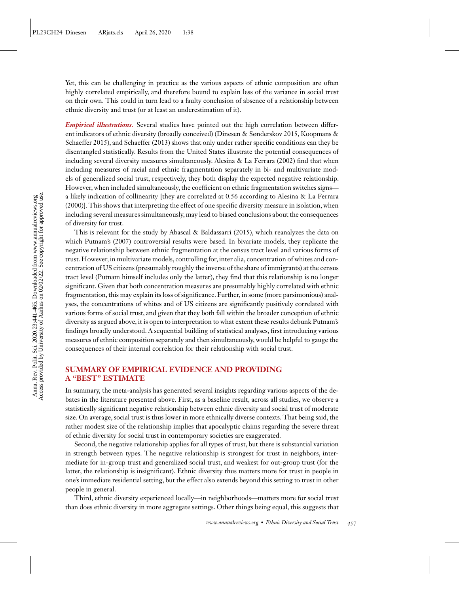Yet, this can be challenging in practice as the various aspects of ethnic composition are often highly correlated empirically, and therefore bound to explain less of the variance in social trust on their own. This could in turn lead to a faulty conclusion of absence of a relationship between ethnic diversity and trust (or at least an underestimation of it).

*Empirical illustrations.* Several studies have pointed out the high correlation between differ[ent indicators of ethnic diversity \(broadly conceived\) \(Dinesen & Sønderskov 2015, Koopmans &](#page-22-0) Schaeffer 2015), and [Schaeffer \(2013\)](#page-23-0) shows that only under rather specific conditions can they be disentangled statistically. Results from the United States illustrate the potential consequences of including several diversity measures simultaneously. [Alesina & La Ferrara \(2002\)](#page-21-0) find that when including measures of racial and ethnic fragmentation separately in bi- and multivariate models of generalized social trust, respectively, they both display the expected negative relationship. However, when included simultaneously, the coefficient on ethnic fragmentation switches signs [a likely indication of collinearity \[they are correlated at 0.56 according to Alesina & La Ferrara](#page-21-0) (2000)]. This shows that interpreting the effect of one specific diversity measure in isolation, when including several measures simultaneously, may lead to biased conclusions about the consequences of diversity for trust.

This is relevant for the study by [Abascal & Baldassarri \(2015\),](#page-21-0) which reanalyzes the data on which [Putnam's \(2007\)](#page-23-0) controversial results were based. In bivariate models, they replicate the negative relationship between ethnic fragmentation at the census tract level and various forms of trust. However, in multivariate models, controlling for, inter alia, concentration of whites and concentration of US citizens (presumably roughly the inverse of the share of immigrants) at the census tract level (Putnam himself includes only the latter), they find that this relationship is no longer significant. Given that both concentration measures are presumably highly correlated with ethnic fragmentation, this may explain its loss of significance. Further, in some (more parsimonious) analyses, the concentrations of whites and of US citizens are significantly positively correlated with various forms of social trust, and given that they both fall within the broader conception of ethnic diversity as argued above, it is open to interpretation to what extent these results debunk Putnam's findings broadly understood. A sequential building of statistical analyses, first introducing various measures of ethnic composition separately and then simultaneously, would be helpful to gauge the consequences of their internal correlation for their relationship with social trust.

# **SUMMARY OF EMPIRICAL EVIDENCE AND PROVIDING A "BEST" ESTIMATE**

In summary, the meta-analysis has generated several insights regarding various aspects of the debates in the literature presented above. First, as a baseline result, across all studies, we observe a statistically significant negative relationship between ethnic diversity and social trust of moderate size. On average, social trust is thus lower in more ethnically diverse contexts. That being said, the rather modest size of the relationship implies that apocalyptic claims regarding the severe threat of ethnic diversity for social trust in contemporary societies are exaggerated.

Second, the negative relationship applies for all types of trust, but there is substantial variation in strength between types. The negative relationship is strongest for trust in neighbors, intermediate for in-group trust and generalized social trust, and weakest for out-group trust (for the latter, the relationship is insignificant). Ethnic diversity thus matters more for trust in people in one's immediate residential setting, but the effect also extends beyond this setting to trust in other people in general.

Third, ethnic diversity experienced locally—in neighborhoods—matters more for social trust than does ethnic diversity in more aggregate settings. Other things being equal, this suggests that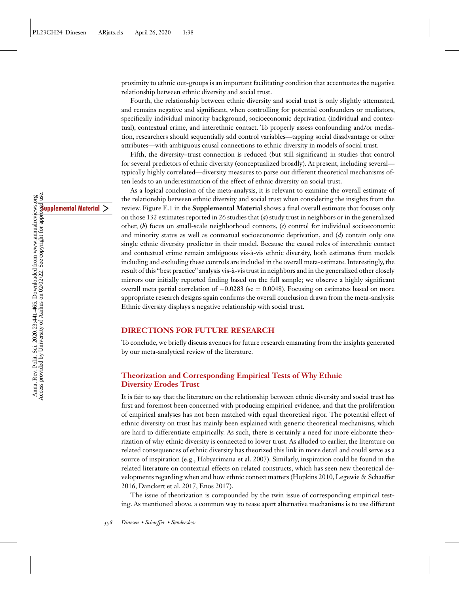proximity to ethnic out-groups is an important facilitating condition that accentuates the negative relationship between ethnic diversity and social trust.

Fourth, the relationship between ethnic diversity and social trust is only slightly attenuated, and remains negative and significant, when controlling for potential confounders or mediators, specifically individual minority background, socioeconomic deprivation (individual and contextual), contextual crime, and interethnic contact. To properly assess confounding and/or mediation, researchers should sequentially add control variables—tapping social disadvantage or other attributes—with ambiguous causal connections to ethnic diversity in models of social trust.

Fifth, the diversity–trust connection is reduced (but still significant) in studies that control for several predictors of ethnic diversity (conceptualized broadly). At present, including several typically highly correlated—diversity measures to parse out different theoretical mechanisms often leads to an underestimation of the effect of ethnic diversity on social trust.

As a logical conclusion of the meta-analysis, it is relevant to examine the overall estimate of the relationship between ethnic diversity and social trust when considering the insights from the review. Figure E.1 in the **Supplemental Material** shows a final overall estimate that focuses only on those 132 estimates reported in 26 studies that (*a*) study trust in neighbors or in the generalized other, (*b*) focus on small-scale neighborhood contexts, (*c*) control for individual socioeconomic and minority status as well as contextual socioeconomic deprivation, and (*d*) contain only one single ethnic diversity predictor in their model. Because the causal roles of interethnic contact and contextual crime remain ambiguous vis-à-vis ethnic diversity, both estimates from models including and excluding these controls are included in the overall meta-estimate. Interestingly, the result of this "best practice" analysis vis-à-vis trust in neighbors and in the generalized other closely mirrors our initially reported finding based on the full sample; we observe a highly significant overall meta partial correlation of −0.0283 (se = 0.0048). Focusing on estimates based on more appropriate research designs again confirms the overall conclusion drawn from the meta-analysis: Ethnic diversity displays a negative relationship with social trust.

#### **DIRECTIONS FOR FUTURE RESEARCH**

To conclude, we briefly discuss avenues for future research emanating from the insights generated by our meta-analytical review of the literature.

# **Theorization and Corresponding Empirical Tests of Why Ethnic Diversity Erodes Trust**

It is fair to say that the literature on the relationship between ethnic diversity and social trust has first and foremost been concerned with producing empirical evidence, and that the proliferation of empirical analyses has not been matched with equal theoretical rigor. The potential effect of ethnic diversity on trust has mainly been explained with generic theoretical mechanisms, which are hard to differentiate empirically. As such, there is certainly a need for more elaborate theorization of why ethnic diversity is connected to lower trust. As alluded to earlier, the literature on related consequences of ethnic diversity has theorized this link in more detail and could serve as a source of inspiration (e.g., [Habyarimana et al. 2007\)](#page-22-0). Similarly, inspiration could be found in the related literature on contextual effects on related constructs, which has seen new theoretical de[velopments regarding when and how ethnic context matters \(Hopkins 2010, Legewie & Schaeffer](#page-22-0) 2016, [Danckert et al. 2017, Enos 2017\)](#page-21-0).

The issue of theorization is compounded by the twin issue of corresponding empirical testing. As mentioned above, a common way to tease apart alternative mechanisms is to use different

Annu. Rev. Polit. Sci. 2020.23:441-465. Downloaded from www.annualreviews.org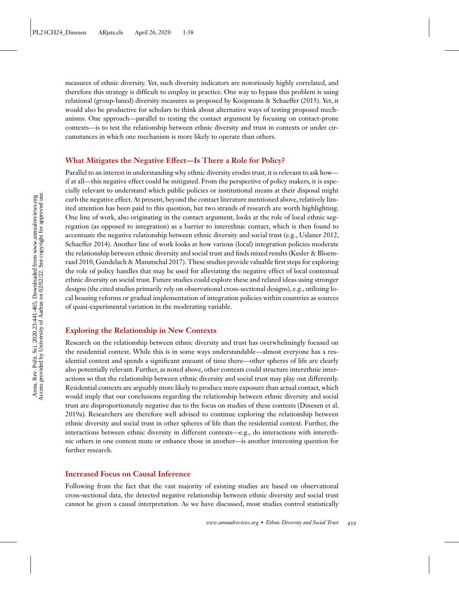measures of ethnic diversity. Yet, such diversity indicators are notoriously highly correlated, and therefore this strategy is difficult to employ in practice. One way to bypass this problem is using relational (group-based) diversity measures as proposed by [Koopmans & Schaeffer \(2015\).](#page-22-0) Yet, it would also be productive for scholars to think about alternative ways of testing proposed mechanisms. One approach—parallel to testing the contact argument by focusing on contact-prone contexts—is to test the relationship between ethnic diversity and trust in contexts or under circumstances in which one mechanism is more likely to operate than others.

# **What Mitigates the Negative Effect—Is There a Role for Policy?**

Parallel to an interest in understanding why ethnic diversity erodes trust, it is relevant to ask how if at all—this negative effect could be mitigated. From the perspective of policy makers, it is especially relevant to understand which public policies or institutional means at their disposal might curb the negative effect. At present, beyond the contact literature mentioned above, relatively limited attention has been paid to this question, but two strands of research are worth highlighting. One line of work, also originating in the contact argument, looks at the role of local ethnic segregation (as opposed to integration) as a barrier to interethnic contact, which is then found to accentuate the negative relationship between ethnic diversity and social trust (e.g., [Uslaner 2012,](#page-24-0) [Schaeffer 2014\)](#page-23-0). Another line of work looks at how various (local) integration policies moderate [the relationship between ethnic diversity and social trust and finds mixed results \(Kesler & Bloem](#page-22-0)raad 2010, [Gundelach & Manatschal 2017\)](#page-22-0). These studies provide valuable first steps for exploring the role of policy handles that may be used for alleviating the negative effect of local contextual ethnic diversity on social trust. Future studies could explore these and related ideas using stronger designs (the cited studies primarily rely on observational cross-sectional designs), e.g., utilizing local housing reforms or gradual implementation of integration policies within countries as sources of quasi-experimental variation in the moderating variable.

## **Exploring the Relationship in New Contexts**

Research on the relationship between ethnic diversity and trust has overwhelmingly focused on the residential context. While this is in some ways understandable—almost everyone has a residential context and spends a significant amount of time there—other spheres of life are clearly also potentially relevant. Further, as noted above, other contexts could structure interethnic interactions so that the relationship between ethnic diversity and social trust may play out differently. Residential contexts are arguably more likely to produce mere exposure than actual contact, which would imply that our conclusions regarding the relationship between ethnic diversity and social [trust are disproportionately negative due to the focus on studies of these contexts \(Dinesen et al.](#page-21-0) 2019a). Researchers are therefore well advised to continue exploring the relationship between ethnic diversity and social trust in other spheres of life than the residential context. Further, the interactions between ethnic diversity in different contexts—e.g., do interactions with interethnic others in one context mute or enhance those in another—is another interesting question for further research.

#### **Increased Focus on Causal Inference**

Following from the fact that the vast majority of existing studies are based on observational cross-sectional data, the detected negative relationship between ethnic diversity and social trust cannot be given a causal interpretation. As we have discussed, most studies control statistically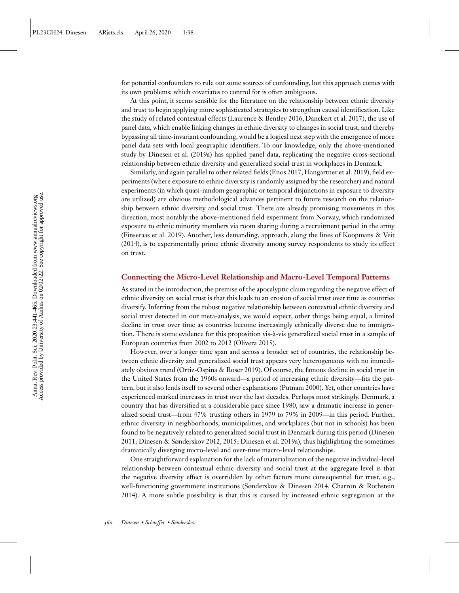for potential confounders to rule out some sources of confounding, but this approach comes with its own problems; which covariates to control for is often ambiguous.

At this point, it seems sensible for the literature on the relationship between ethnic diversity and trust to begin applying more sophisticated strategies to strengthen causal identification. Like the study of related contextual effects [\(Laurence & Bentley 2016,](#page-22-0) [Danckert et al. 2017\)](#page-21-0), the use of panel data, which enable linking changes in ethnic diversity to changes in social trust, and thereby bypassing all time-invariant confounding, would be a logical next step with the emergence of more panel data sets with local geographic identifiers. To our knowledge, only the above-mentioned study by [Dinesen et al. \(2019a\)](#page-21-0) has applied panel data, replicating the negative cross-sectional relationship between ethnic diversity and generalized social trust in workplaces in Denmark.

Similarly, and again parallel to other related fields [\(Enos 2017,](#page-21-0) [Hangartner et al. 2019\)](#page-22-0), field experiments (where exposure to ethnic diversity is randomly assigned by the researcher) and natural experiments (in which quasi-random geographic or temporal disjunctions in exposure to diversity are utilized) are obvious methodological advances pertinent to future research on the relationship between ethnic diversity and social trust. There are already promising movements in this direction, most notably the above-mentioned field experiment from Norway, which randomized exposure to ethnic minority members via room sharing during a recruitment period in the army [\(Finseraas et al. 2019\). Another, less demanding, approach, along the lines of Koopmans & Veit](#page-22-0) (2014), is to experimentally prime ethnic diversity among survey respondents to study its effect on trust.

#### **Connecting the Micro-Level Relationship and Macro-Level Temporal Patterns**

As stated in the introduction, the premise of the apocalyptic claim regarding the negative effect of ethnic diversity on social trust is that this leads to an erosion of social trust over time as countries diversify. Inferring from the robust negative relationship between contextual ethnic diversity and social trust detected in our meta-analysis, we would expect, other things being equal, a limited decline in trust over time as countries become increasingly ethnically diverse due to immigration. There is some evidence for this proposition vis-à-vis generalized social trust in a sample of European countries from 2002 to 2012 [\(Olivera 2015\)](#page-23-0).

However, over a longer time span and across a broader set of countries, the relationship between ethnic diversity and generalized social trust appears very heterogeneous with no immediately obvious trend [\(Ortiz-Ospina & Roser 2019\)](#page-23-0). Of course, the famous decline in social trust in the United States from the 1960s onward—a period of increasing ethnic diversity—fits the pattern, but it also lends itself to several other explanations [\(Putnam 2000\)](#page-23-0). Yet, other countries have experienced marked increases in trust over the last decades. Perhaps most strikingly, Denmark, a country that has diversified at a considerable pace since 1980, saw a dramatic increase in generalized social trust—from 47% trusting others in 1979 to 79% in 2009—in this period. Further, ethnic diversity in neighborhoods, municipalities, and workplaces (but not in schools) has been [found to be negatively related to generalized social trust in Denmark during this period \(Dinesen](#page-21-0) 2011; [Dinesen & Sønderskov 2012, 2015; Dinesen et al. 2019a\)](#page-21-0), thus highlighting the sometimes dramatically diverging micro-level and over-time macro-level relationships.

One straightforward explanation for the lack of materialization of the negative individual-level relationship between contextual ethnic diversity and social trust at the aggregate level is that the negative diversity effect is overridden by other factors more consequential for trust, e.g., [well-functioning government institutions \(Sønderskov & Dinesen 2014, Charron & Rothstein](#page-21-0) 2014). A more subtle possibility is that this is caused by increased ethnic segregation at the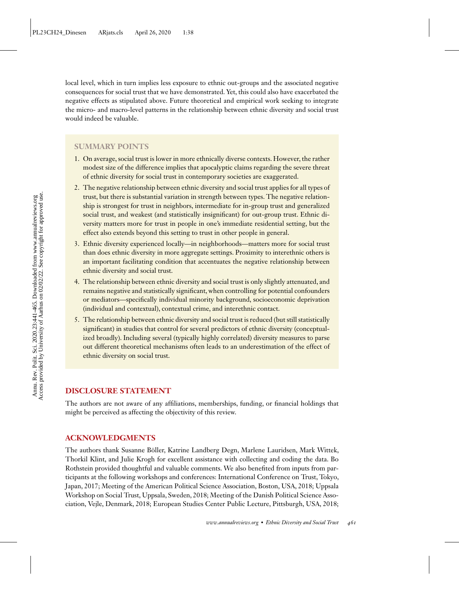local level, which in turn implies less exposure to ethnic out-groups and the associated negative consequences for social trust that we have demonstrated. Yet, this could also have exacerbated the negative effects as stipulated above. Future theoretical and empirical work seeking to integrate the micro- and macro-level patterns in the relationship between ethnic diversity and social trust would indeed be valuable.

#### **SUMMARY POINTS**

- 1. On average, social trust is lower in more ethnically diverse contexts. However, the rather modest size of the difference implies that apocalyptic claims regarding the severe threat of ethnic diversity for social trust in contemporary societies are exaggerated.
- 2. The negative relationship between ethnic diversity and social trust applies for all types of trust, but there is substantial variation in strength between types. The negative relationship is strongest for trust in neighbors, intermediate for in-group trust and generalized social trust, and weakest (and statistically insignificant) for out-group trust. Ethnic diversity matters more for trust in people in one's immediate residential setting, but the effect also extends beyond this setting to trust in other people in general.
- 3. Ethnic diversity experienced locally—in neighborhoods—matters more for social trust than does ethnic diversity in more aggregate settings. Proximity to interethnic others is an important facilitating condition that accentuates the negative relationship between ethnic diversity and social trust.
- 4. The relationship between ethnic diversity and social trust is only slightly attenuated, and remains negative and statistically significant, when controlling for potential confounders or mediators—specifically individual minority background, socioeconomic deprivation (individual and contextual), contextual crime, and interethnic contact.
- 5. The relationship between ethnic diversity and social trust is reduced (but still statistically significant) in studies that control for several predictors of ethnic diversity (conceptualized broadly). Including several (typically highly correlated) diversity measures to parse out different theoretical mechanisms often leads to an underestimation of the effect of ethnic diversity on social trust.

#### **DISCLOSURE STATEMENT**

The authors are not aware of any affiliations, memberships, funding, or financial holdings that might be perceived as affecting the objectivity of this review.

#### **ACKNOWLEDGMENTS**

The authors thank Susanne Böller, Katrine Landberg Degn, Marlene Lauridsen, Mark Wittek, Thorkil Klint, and Julie Krogh for excellent assistance with collecting and coding the data. Bo Rothstein provided thoughtful and valuable comments. We also benefited from inputs from participants at the following workshops and conferences: International Conference on Trust, Tokyo, Japan, 2017; Meeting of the American Political Science Association, Boston, USA, 2018; Uppsala Workshop on Social Trust, Uppsala, Sweden, 2018; Meeting of the Danish Political Science Association, Vejle, Denmark, 2018; European Studies Center Public Lecture, Pittsburgh, USA, 2018;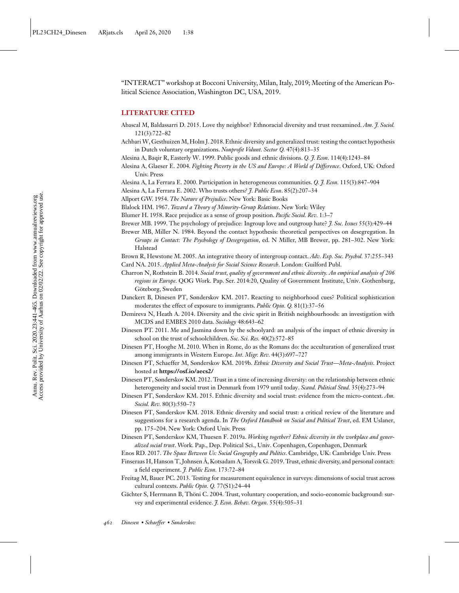<span id="page-21-0"></span>"INTERACT" workshop at Bocconi University, Milan, Italy, 2019; Meeting of the American Political Science Association, Washington DC, USA, 2019.

#### **LITERATURE CITED**

- Abascal M, Baldassarri D. 2015. Love thy neighbor? Ethnoracial diversity and trust reexamined. *Am. J. Sociol.* 121(3):722–82
- Achbari W, Gesthuizen M, Holm J. 2018. Ethnic diversity and generalized trust: testing the contact hypothesis in Dutch voluntary organizations. *Nonprofit Volunt. Sector Q.* 47(4):813–35
- Alesina A, Baqir R, Easterly W. 1999. Public goods and ethnic divisions. *Q. J. Econ.* 114(4):1243–84
- Alesina A, Glaeser E. 2004. *Fighting Poverty in the US and Europe: A World of Difference*. Oxford, UK: Oxford Univ. Press
- Alesina A, La Ferrara E. 2000. Participation in heterogeneous communities. *Q. J. Econ.* 115(3):847–904
- Alesina A, La Ferrara E. 2002. Who trusts others*? J. Public Econ*. 85(2):207–34
- Allport GW. 1954. *The Nature of Prejudice*. New York: Basic Books
- Blalock HM. 1967. *Toward a Theory of Minority-Group Relations*. New York: Wiley
- Blumer H. 1958. Race prejudice as a sense of group position. *Pacific Sociol. Rev.* 1:3–7
- Brewer MB. 1999. The psychology of prejudice: Ingroup love and outgroup hate? *J. Soc. Issues* 55(3):429–44
- Brewer MB, Miller N. 1984. Beyond the contact hypothesis: theoretical perspectives on desegregation. In *Groups in Contact: The Psychology of Desegregation*, ed. N Miller, MB Brewer, pp. 281–302. New York: Halstead

Brown R, Hewstone M. 2005. An integrative theory of intergroup contact. *Adv. Exp. Soc. Psychol.* 37:255–343 Card NA. 2015. *Applied Meta-Analysis for Social Science Research*. London: Guilford Publ.

- Charron N, Rothstein B. 2014. *Social trust, quality of government and ethnic diversity. An empirical analysis of 206 regions in Europe.* QOG Work. Pap. Ser. 2014:20, Quality of Government Institute, Univ. Gothenburg, Göteborg, Sweden
- Danckert B, Dinesen PT, Sønderskov KM. 2017. Reacting to neighborhood cues? Political sophistication moderates the effect of exposure to immigrants. *Public Opin. Q.* 81(1):37–56
- Demireva N, Heath A. 2014. Diversity and the civic spirit in British neighbourhoods: an investigation with MCDS and EMBES 2010 data. *Sociology* 48:643–62
- Dinesen PT. 2011. Me and Jasmina down by the schoolyard: an analysis of the impact of ethnic diversity in school on the trust of schoolchildren. *Soc. Sci. Res.* 40(2):572–85
- Dinesen PT, Hooghe M. 2010. When in Rome, do as the Romans do: the acculturation of generalized trust among immigrants in Western Europe. *Int. Migr. Rev.* 44(3):697–727
- Dinesen PT, Schaeffer M, Sønderskov KM. 2019b. *Ethnic Diversity and Social Trust—Meta-Analysis*. Project hosted at **<https://osf.io/aecs2/>**
- Dinesen PT, Sønderskov KM. 2012. Trust in a time of increasing diversity: on the relationship between ethnic heterogeneity and social trust in Denmark from 1979 until today. *Scand. Political Stud.* 35(4):273–94
- Dinesen PT, Sønderskov KM. 2015. Ethnic diversity and social trust: evidence from the micro-context. *Am. Sociol. Rev.* 80(3):550–73
- Dinesen PT, Sønderskov KM. 2018. Ethnic diversity and social trust: a critical review of the literature and suggestions for a research agenda. In *The Oxford Handbook on Social and Political Trust*, ed. EM Uslaner, pp. 175–204. New York: Oxford Univ. Press
- Dinesen PT, Sønderskov KM, Thuesen F. 2019a. *Working together? Ethnic diversity in the workplace and generalized social trust*. Work. Pap., Dep. Political Sci., Univ. Copenhagen, Copenhagen, Denmark

Enos RD. 2017. *The Space Between Us: Social Geography and Politics*. Cambridge, UK: Cambridge Univ. Press

- Finseraas H, Hanson T, Johnsen A, Kotsadam A, Torsvik G. 2019. Trust, ethnic diversity, and personal contact: a field experiment. *J. Public Econ.* 173:72–84
- Freitag M, Bauer PC. 2013. Testing for measurement equivalence in surveys: dimensions of social trust across cultural contexts. *Public Opin. Q.* 77(S1):24–44
- Gächter S, Herrmann B, Thöni C. 2004. Trust, voluntary cooperation, and socio-economic background: survey and experimental evidence. *J. Econ. Behav. Organ.* 55(4):505–31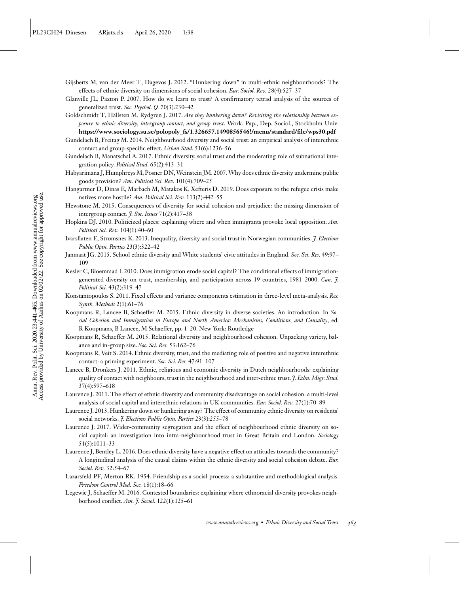- <span id="page-22-0"></span>Gijsberts M, van der Meer T, Dagevos J. 2012. "Hunkering down" in multi-ethnic neighbourhoods? The effects of ethnic diversity on dimensions of social cohesion. *Eur. Sociol. Rev.* 28(4):527–37
- Glanville JL, Paxton P. 2007. How do we learn to trust? A confirmatory tetrad analysis of the sources of generalized trust. *Soc. Psychol. Q.* 70(3):230–42
- Goldschmidt T, Hällsten M, Rydgren J. 2017. *Are they hunkering down? Revisiting the relationship between exposure to ethnic diversity, intergroup contact, and group trust*. Work. Pap., Dep. Sociol., Stockholm Univ. **[https://www.sociology.su.se/polopoly\\_fs/1.326657.1490856546!/menu/standard/file/wps30.pdf](https://www.sociology.su.se/polopoly_fs/1.326657.1490856546!/menu/standard/file/wps30.pdf)**
- Gundelach B, Freitag M. 2014. Neighbourhood diversity and social trust: an empirical analysis of interethnic contact and group-specific effect. *Urban Stud*. 51(6):1236–56
- Gundelach B, Manatschal A. 2017. Ethnic diversity, social trust and the moderating role of subnational integration policy. *Political Stud*. 65(2):413–31
- Habyarimana J, Humphreys M, Posner DN, Weinstein JM. 2007. Why does ethnic diversity undermine public goods provision? *Am. Political Sci. Rev.* 101(4):709–25
- Hangartner D, Dinas E, Marbach M, Matakos K, Xefteris D. 2019. Does exposure to the refugee crisis make natives more hostile? *Am. Political Sci. Rev.* 113(2):442–55
- Hewstone M. 2015. Consequences of diversity for social cohesion and prejudice: the missing dimension of intergroup contact. *J. Soc. Issues* 71(2):417–38
- Hopkins DJ. 2010. Politicized places: explaining where and when immigrants provoke local opposition. *Am. Political Sci. Rev.* 104(1):40–60
- Ivarsflaten E, Strømsnes K. 2013. Inequality, diversity and social trust in Norwegian communities. *J. Elections Public Opin. Parties* 23(3):322–42
- Janmaat JG. 2015. School ethnic diversity and White students' civic attitudes in England. *Soc. Sci. Res.* 49:97– 109
- Kesler C, Bloemraad I. 2010. Does immigration erode social capital? The conditional effects of immigrationgenerated diversity on trust, membership, and participation across 19 countries, 1981–2000. *Can. J. Political Sci.* 43(2):319–47
- Konstantopoulos S. 2011. Fixed effects and variance components estimation in three-level meta-analysis. *Res. Synth. Methods* 2(1):61–76
- Koopmans R, Lancee B, Schaeffer M. 2015. Ethnic diversity in diverse societies. An introduction. In *Social Cohesion and Immigration in Europe and North America: Mechanisms, Conditions, and Causality*, ed. R Koopmans, B Lancee, M Schaeffer, pp. 1–20. New York: Routledge
- Koopmans R, Schaeffer M. 2015. Relational diversity and neighbourhood cohesion. Unpacking variety, balance and in-group size. *Soc. Sci. Res.* 53:162–76
- Koopmans R, Veit S. 2014. Ethnic diversity, trust, and the mediating role of positive and negative interethnic contact: a priming experiment. *Soc. Sci. Res.* 47:91–107
- Lancee B, Dronkers J. 2011. Ethnic, religious and economic diversity in Dutch neighbourhoods: explaining quality of contact with neighbours, trust in the neighbourhood and inter-ethnic trust. *J. Ethn. Migr. Stud.* 37(4):597–618
- Laurence J. 2011. The effect of ethnic diversity and community disadvantage on social cohesion: a multi-level analysis of social capital and interethnic relations in UK communities. *Eur. Sociol. Rev.* 27(1):70–89
- Laurence J. 2013. Hunkering down or hunkering away? The effect of community ethnic diversity on residents' social networks. *J. Elections Public Opin. Parties* 23(3):255–78
- Laurence J. 2017. Wider-community segregation and the effect of neighbourhood ethnic diversity on social capital: an investigation into intra-neighbourhood trust in Great Britain and London. *Sociology* 51(5):1011–33
- Laurence J, Bentley L. 2016. Does ethnic diversity have a negative effect on attitudes towards the community? A longitudinal analysis of the causal claims within the ethnic diversity and social cohesion debate. *Eur. Sociol. Rev.* 32:54–67
- Lazarsfeld PF, Merton RK. 1954. Friendship as a social process: a substantive and methodological analysis. *Freedom Control Mod. Soc.* 18(1):18–66
- Legewie J, Schaeffer M. 2016. Contested boundaries: explaining where ethnoracial diversity provokes neighborhood conflict. *Am. J. Sociol.* 122(1):125–61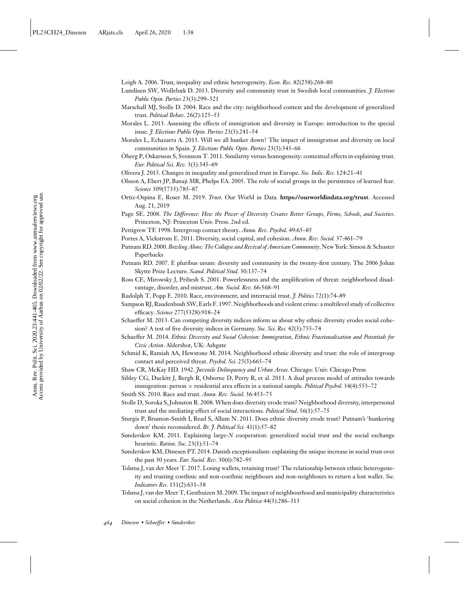<span id="page-23-0"></span>Leigh A. 2006. Trust, inequality and ethnic heterogeneity. *Econ. Rec.* 82(258):268–80

- Lundåsen SW, Wollebæk D. 2013. Diversity and community trust in Swedish local communities. *J. Elections Public Opin. Parties* 23(3):299–321
- Marschall MJ, Stolle D. 2004. Race and the city: neighborhood context and the development of generalized trust. *Political Behav*. 26(2):125–53
- Morales L. 2013. Assessing the effects of immigration and diversity in Europe: introduction to the special issue. *J. Elections Public Opin. Parties* 23(3):241–54
- Morales L, Echazarra A. 2013. Will we all hunker down? The impact of immigration and diversity on local communities in Spain. *J. Elections Public Opin. Parties* 23(3):343–66
- Öberg P, Oskarsson S, Svensson T. 2011. Similarity versus homogeneity: contextual effects in explaining trust. *Eur. Political Sci. Rev.* 3(3):345–69
- Olivera J. 2015. Changes in inequality and generalized trust in Europe. *Soc. Indic. Res.* 124:21–41
- Olsson A, Ebert JP, Banaji MR, Phelps EA. 2005. The role of social groups in the persistence of learned fear. *Science* 309(5735):785–87
- Ortiz-Ospina E, Roser M. 2019. *Trust*. Our World in Data. **<https://ourworldindata.org/trust>**. Accessed Aug. 21, 2019
- Page SE. 2008. *The Difference: How the Power of Diversity Creates Better Groups, Firms, Schools, and Societies*. Princeton, NJ: Princeton Univ. Press. 2nd ed.
- Pettigrew TF. 1998. Intergroup contact theory. *Annu. Rev. Psychol.* 49:65–85
- Portes A, Vickstrom E. 2011. Diversity, social capital, and cohesion. *Annu. Rev. Sociol.* 37:461–79
- Putnam RD. 2000.*Bowling Alone: The Collapse and Revival of American Community*.New York: Simon & Schuster Paperbacks
- Putnam RD. 2007. E pluribus unum: diversity and community in the twenty-first century. The 2006 Johan Skytte Prize Lecture. *Scand. Political Stud.* 30:137–74
- Ross CE, Mirowsky J, Pribesh S. 2001. Powerlessness and the amplification of threat: neighborhood disadvantage, disorder, and mistrust. *Am. Sociol. Rev.* 66:568–91
- Rudolph T, Popp E. 2010. Race, environment, and interracial trust. *J. Politics* 72(1):74–89
- Sampson RJ, Raudenbush SW, Earls F. 1997.Neighborhoods and violent crime: a multilevel study of collective efficacy. *Science* 277(5328):918–24
- Schaeffer M. 2013. Can competing diversity indices inform us about why ethnic diversity erodes social cohesion? A test of five diversity indices in Germany. *Soc. Sci. Res.* 42(3):755–74
- Schaeffer M. 2014. *Ethnic Diversity and Social Cohesion: Immigration, Ethnic Fractionalization and Potentials for Civic Action*. Aldershot, UK: Ashgate
- Schmid K, Ramiah AA, Hewstone M. 2014. Neighborhood ethnic diversity and trust: the role of intergroup contact and perceived threat. *Psychol. Sci.* 25(3):665–74
- Shaw CR, McKay HD. 1942. *Juvenile Delinquency and Urban Areas*. Chicago: Univ. Chicago Press
- Sibley CG, Duckitt J, Bergh R, Osborne D, Perry R, et al. 2013. A dual process model of attitudes towards immigration: person × residential area effects in a national sample. *Political Psychol*. 34(4):553–72
- Smith SS. 2010. Race and trust. *Annu. Rev. Sociol.* 36:453–75
- Stolle D, Soroka S, Johnston R. 2008.When does diversity erode trust? Neighborhood diversity, interpersonal trust and the mediating effect of social interactions. *Political Stud*. 56(1):57–75
- Sturgis P, Brunton-Smith I, Read S, Allum N. 2011. Does ethnic diversity erode trust? Putnam's 'hunkering down' thesis reconsidered. *Br. J. Political Sci.* 41(1):57–82
- Sønderskov KM. 2011. Explaining large-*N* cooperation: generalized social trust and the social exchange heuristic. *Ration. Soc.* 23(1):51–74
- Sønderskov KM, Dinesen PT. 2014. Danish exceptionalism: explaining the unique increase in social trust over the past 30 years. *Eur. Sociol. Rev.* 30(6):782–95
- Tolsma J, van der Meer T. 2017. Losing wallets, retaining trust? The relationship between ethnic heterogeneity and trusting coethnic and non-coethnic neighbours and non-neighbours to return a lost wallet. *Soc. Indicators Res.* 131(2):631–58
- Tolsma J, van der Meer T, Gesthuizen M. 2009. The impact of neighbourhood and municipality characteristics on social cohesion in the Netherlands. *Acta Politica* 44(3):286–313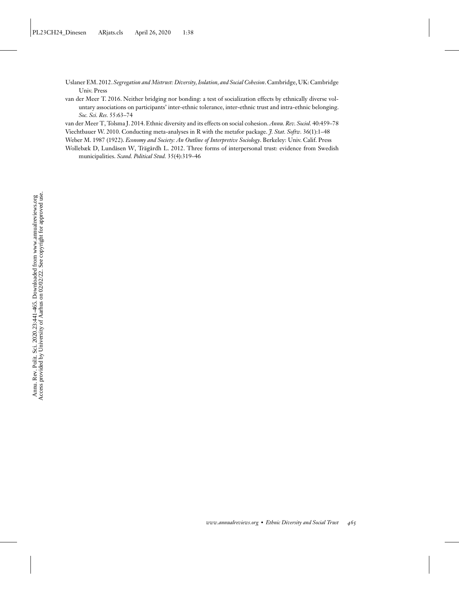- <span id="page-24-0"></span>Uslaner EM. 2012. *Segregation and Mistrust: Diversity, Isolation, and Social Cohesion*. Cambridge, UK: Cambridge Univ. Press
- van der Meer T. 2016. Neither bridging nor bonding: a test of socialization effects by ethnically diverse voluntary associations on participants' inter-ethnic tolerance, inter-ethnic trust and intra-ethnic belonging. *Soc. Sci. Res.* 55:63–74

van der Meer T, Tolsma J. 2014. Ethnic diversity and its effects on social cohesion.*Annu. Rev. Sociol.* 40:459–78

Viechtbauer W. 2010. Conducting meta-analyses in R with the metafor package. *J. Stat. Softw.* 36(1):1–48

Weber M. 1987 (1922). *Economy and Society: An Outline of Interpretive Sociology*. Berkeley: Univ. Calif. Press

Wollebæk D, Lundåsen W, Trägårdh L. 2012. Three forms of interpersonal trust: evidence from Swedish municipalities. *Scand. Political Stud.* 35(4):319–46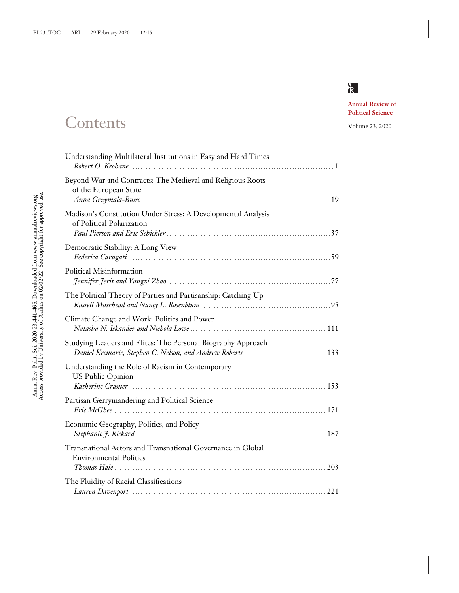

## **Annual Review of Political Science**

# Contents Volume 23, 2020

| Understanding Multilateral Institutions in Easy and Hard Times                                                              |  |
|-----------------------------------------------------------------------------------------------------------------------------|--|
| Beyond War and Contracts: The Medieval and Religious Roots<br>of the European State                                         |  |
| Madison's Constitution Under Stress: A Developmental Analysis<br>of Political Polarization                                  |  |
| Democratic Stability: A Long View                                                                                           |  |
| Political Misinformation                                                                                                    |  |
| The Political Theory of Parties and Partisanship: Catching Up                                                               |  |
| Climate Change and Work: Politics and Power                                                                                 |  |
| Studying Leaders and Elites: The Personal Biography Approach<br>Daniel Krcmaric, Stephen C. Nelson, and Andrew Roberts  133 |  |
| Understanding the Role of Racism in Contemporary<br><b>US Public Opinion</b>                                                |  |
| Partisan Gerrymandering and Political Science                                                                               |  |
| Economic Geography, Politics, and Policy                                                                                    |  |
| Transnational Actors and Transnational Governance in Global<br><b>Environmental Politics</b>                                |  |
| The Fluidity of Racial Classifications                                                                                      |  |
|                                                                                                                             |  |